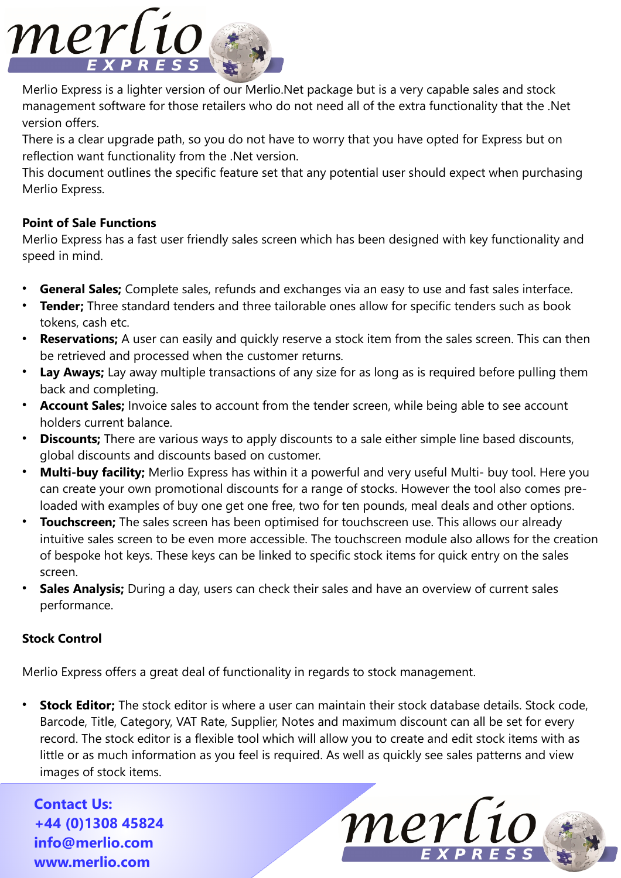

Merlio Express is a lighter version of our Merlio.Net package but is a very capable sales and stock management software for those retailers who do not need all of the extra functionality that the .Net version offers.

There is a clear upgrade path, so you do not have to worry that you have opted for Express but on reflection want functionality from the .Net version.

This document outlines the specific feature set that any potential user should expect when purchasing Merlio Express.

## **Point of Sale Functions**

Merlio Express has a fast user friendly sales screen which has been designed with key functionality and speed in mind.

- **General Sales;** Complete sales, refunds and exchanges via an easy to use and fast sales interface.
- **Tender:** Three standard tenders and three tailorable ones allow for specific tenders such as book tokens, cash etc.
- **Reservations;** A user can easily and quickly reserve a stock item from the sales screen. This can then be retrieved and processed when the customer returns.
- Lay Aways; Lay away multiple transactions of any size for as long as is required before pulling them back and completing.
- Account Sales; Invoice sales to account from the tender screen, while being able to see account holders current balance.
- **Discounts;** There are various ways to apply discounts to a sale either simple line based discounts, global discounts and discounts based on customer.
- **Multi-buy facility;** Merlio Express has within it a powerful and very useful Multi- buy tool. Here you can create your own promotional discounts for a range of stocks. However the tool also comes preloaded with examples of buy one get one free, two for ten pounds, meal deals and other options.
- **Touchscreen;** The sales screen has been optimised for touchscreen use. This allows our already intuitive sales screen to be even more accessible. The touchscreen module also allows for the creation of bespoke hot keys. These keys can be linked to specific stock items for quick entry on the sales screen.
- **Sales Analysis;** During a day, users can check their sales and have an overview of current sales performance.

## **Stock Control**

Merlio Express offers a great deal of functionality in regards to stock management.

**Stock Editor;** The stock editor is where a user can maintain their stock database details. Stock code, Barcode, Title, Category, VAT Rate, Supplier, Notes and maximum discount can all be set for every record. The stock editor is a flexible tool which will allow you to create and edit stock items with as little or as much information as you feel is required. As well as quickly see sales patterns and view images of stock items.

**Contact Us: +44 (0)1308 45824 [info@merlio.com](mailto:info@merlio.com) www.merlio.com**